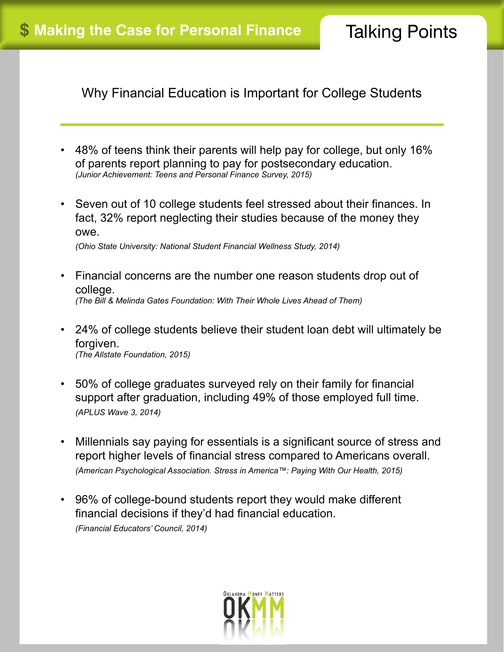Why Financial Education is Important for College Students

- 48% of teens think their parents will help pay for college, but only 16% of parents report planning to pay for postsecondary education. *(Junior Achievement: Teens and Personal Finance Survey, 2015)*
- Seven out of 10 college students feel stressed about their finances. In fact, 32% report neglecting their studies because of the money they owe.

*(Ohio State University: National Student Financial Wellness Study, 2014)*

- Financial concerns are the number one reason students drop out of college. *(The Bill & Melinda Gates Foundation: With Their Whole Lives Ahead of Them)*
- 24% of college students believe their student loan debt will ultimately be forgiven. *(The Allstate Foundation, 2015)*
- 50% of college graduates surveyed rely on their family for financial support after graduation, including 49% of those employed full time. *(APLUS Wave 3, 2014)*
- Millennials say paying for essentials is a significant source of stress and report higher levels of financial stress compared to Americans overall. *(American Psychological Association. Stress in America™: Paying With Our Health, 2015)*
- 96% of college-bound students report they would make different financial decisions if they'd had financial education. *(Financial Educators' Council, 2014)*